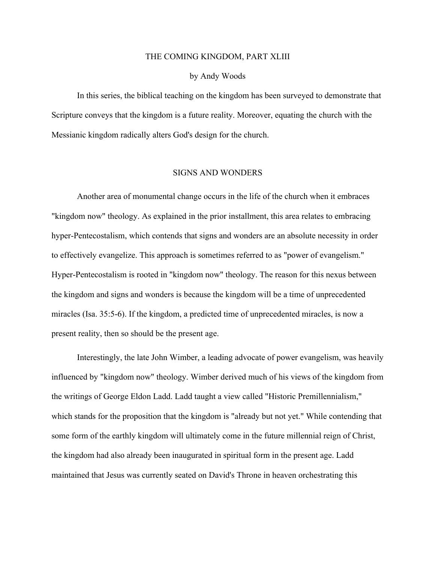### THE COMING KINGDOM, PART XLIII

### by Andy Woods

In this series, the biblical teaching on the kingdom has been surveyed to demonstrate that Scripture conveys that the kingdom is a future reality. Moreover, equating the church with the Messianic kingdom radically alters God's design for the church.

### SIGNS AND WONDERS

Another area of monumental change occurs in the life of the church when it embraces "kingdom now" theology. As explained in the prior installment, this area relates to embracing hyper-Pentecostalism, which contends that signs and wonders are an absolute necessity in order to effectively evangelize. This approach is sometimes referred to as "power of evangelism." Hyper-Pentecostalism is rooted in "kingdom now" theology. The reason for this nexus between the kingdom and signs and wonders is because the kingdom will be a time of unprecedented miracles (Isa. 35:5-6). If the kingdom, a predicted time of unprecedented miracles, is now a present reality, then so should be the present age.

Interestingly, the late John Wimber, a leading advocate of power evangelism, was heavily influenced by "kingdom now" theology. Wimber derived much of his views of the kingdom from the writings of George Eldon Ladd. Ladd taught a view called "Historic Premillennialism," which stands for the proposition that the kingdom is "already but not yet." While contending that some form of the earthly kingdom will ultimately come in the future millennial reign of Christ, the kingdom had also already been inaugurated in spiritual form in the present age. Ladd maintained that Jesus was currently seated on David's Throne in heaven orchestrating this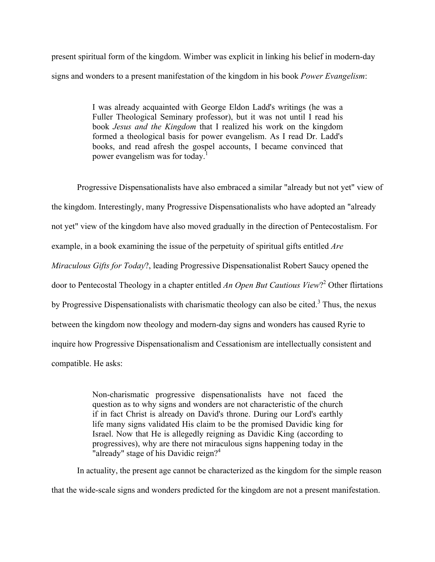present spiritual form of the kingdom. Wimber was explicit in linking his belief in modern-day signs and wonders to a present manifestation of the kingdom in his book *Power Evangelism*:

> I was already acquainted with George Eldon Ladd's writings (he was a Fuller Theological Seminary professor), but it was not until I read his book *Jesus and the Kingdom* that I realized his work on the kingdom formed a theological basis for power evangelism. As I read Dr. Ladd's books, and read afresh the gospel accounts, I became convinced that power evangelism was for today.<sup>1</sup>

Progressive Dispensationalists have also embraced a similar "already but not yet" view of the kingdom. Interestingly, many Progressive Dispensationalists who have adopted an "already not yet" view of the kingdom have also moved gradually in the direction of Pentecostalism. For example, in a book examining the issue of the perpetuity of spiritual gifts entitled *Are Miraculous Gifts for Today*?, leading Progressive Dispensationalist Robert Saucy opened the door to Pentecostal Theology in a chapter entitled *An Open But Cautious View*? <sup>2</sup> Other flirtations by Progressive Dispensationalists with charismatic theology can also be cited.<sup>3</sup> Thus, the nexus between the kingdom now theology and modern-day signs and wonders has caused Ryrie to inquire how Progressive Dispensationalism and Cessationism are intellectually consistent and compatible. He asks:

> Non-charismatic progressive dispensationalists have not faced the question as to why signs and wonders are not characteristic of the church if in fact Christ is already on David's throne. During our Lord's earthly life many signs validated His claim to be the promised Davidic king for Israel. Now that He is allegedly reigning as Davidic King (according to progressives), why are there not miraculous signs happening today in the "already" stage of his Davidic reign?<sup>4</sup>

In actuality, the present age cannot be characterized as the kingdom for the simple reason that the wide-scale signs and wonders predicted for the kingdom are not a present manifestation.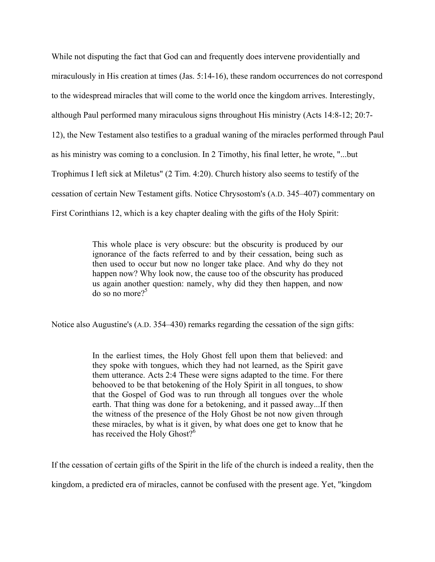While not disputing the fact that God can and frequently does intervene providentially and miraculously in His creation at times (Jas. 5:14-16), these random occurrences do not correspond to the widespread miracles that will come to the world once the kingdom arrives. Interestingly, although Paul performed many miraculous signs throughout His ministry (Acts 14:8-12; 20:7- 12), the New Testament also testifies to a gradual waning of the miracles performed through Paul as his ministry was coming to a conclusion. In 2 Timothy, his final letter, he wrote, "...but Trophimus I left sick at Miletus" (2 Tim. 4:20). Church history also seems to testify of the cessation of certain New Testament gifts. Notice Chrysostom's (A.D. 345‒407) commentary on First Corinthians 12, which is a key chapter dealing with the gifts of the Holy Spirit:

> This whole place is very obscure: but the obscurity is produced by our ignorance of the facts referred to and by their cessation, being such as then used to occur but now no longer take place. And why do they not happen now? Why look now, the cause too of the obscurity has produced us again another question: namely, why did they then happen, and now  $\frac{1}{2}$  do so no more?<sup>5</sup>

Notice also Augustine's (A.D. 354–430) remarks regarding the cessation of the sign gifts:

In the earliest times, the Holy Ghost fell upon them that believed: and they spoke with tongues, which they had not learned, as the Spirit gave them utterance. Acts 2:4 These were signs adapted to the time. For there behooved to be that betokening of the Holy Spirit in all tongues, to show that the Gospel of God was to run through all tongues over the whole earth. That thing was done for a betokening, and it passed away...If then the witness of the presence of the Holy Ghost be not now given through these miracles, by what is it given, by what does one get to know that he has received the Holy Ghost?<sup>6</sup>

If the cessation of certain gifts of the Spirit in the life of the church is indeed a reality, then the

kingdom, a predicted era of miracles, cannot be confused with the present age. Yet, "kingdom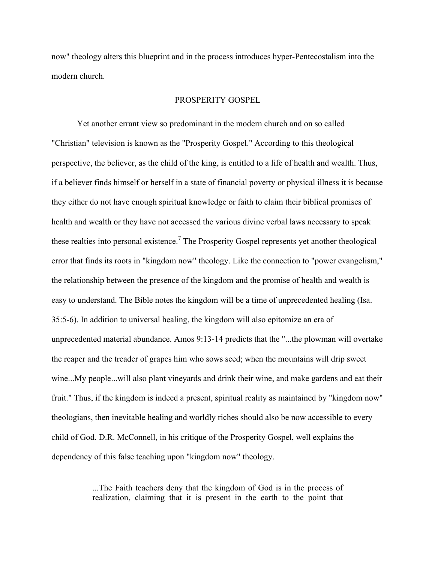now" theology alters this blueprint and in the process introduces hyper-Pentecostalism into the modern church.

## PROSPERITY GOSPEL

Yet another errant view so predominant in the modern church and on so called "Christian" television is known as the "Prosperity Gospel." According to this theological perspective, the believer, as the child of the king, is entitled to a life of health and wealth. Thus, if a believer finds himself or herself in a state of financial poverty or physical illness it is because they either do not have enough spiritual knowledge or faith to claim their biblical promises of health and wealth or they have not accessed the various divine verbal laws necessary to speak these realties into personal existence.<sup>7</sup> The Prosperity Gospel represents yet another theological error that finds its roots in "kingdom now" theology. Like the connection to "power evangelism," the relationship between the presence of the kingdom and the promise of health and wealth is easy to understand. The Bible notes the kingdom will be a time of unprecedented healing (Isa. 35:5-6). In addition to universal healing, the kingdom will also epitomize an era of unprecedented material abundance. Amos 9:13-14 predicts that the "...the plowman will overtake the reaper and the treader of grapes him who sows seed; when the mountains will drip sweet wine...My people...will also plant vineyards and drink their wine, and make gardens and eat their fruit." Thus, if the kingdom is indeed a present, spiritual reality as maintained by "kingdom now" theologians, then inevitable healing and worldly riches should also be now accessible to every child of God. D.R. McConnell, in his critique of the Prosperity Gospel, well explains the dependency of this false teaching upon "kingdom now" theology.

> ...The Faith teachers deny that the kingdom of God is in the process of realization, claiming that it is present in the earth to the point that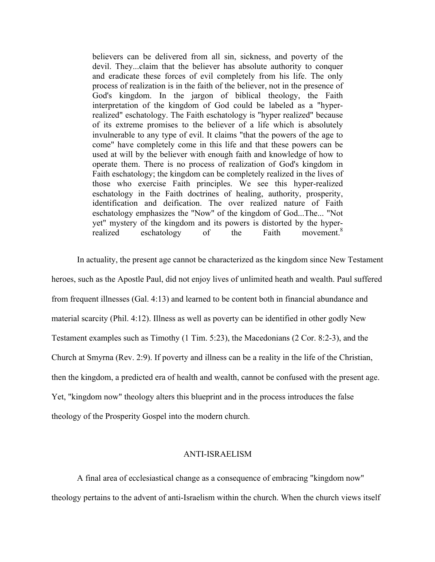believers can be delivered from all sin, sickness, and poverty of the devil. They...claim that the believer has absolute authority to conquer and eradicate these forces of evil completely from his life. The only process of realization is in the faith of the believer, not in the presence of God's kingdom. In the jargon of biblical theology, the Faith interpretation of the kingdom of God could be labeled as a "hyperrealized" eschatology. The Faith eschatology is "hyper realized" because of its extreme promises to the believer of a life which is absolutely invulnerable to any type of evil. It claims "that the powers of the age to come" have completely come in this life and that these powers can be used at will by the believer with enough faith and knowledge of how to operate them. There is no process of realization of God's kingdom in Faith eschatology; the kingdom can be completely realized in the lives of those who exercise Faith principles. We see this hyper-realized eschatology in the Faith doctrines of healing, authority, prosperity, identification and deification. The over realized nature of Faith eschatology emphasizes the "Now" of the kingdom of God...The... "Not yet" mystery of the kingdom and its powers is distorted by the hyper-<br>realized eschatology of the Faith movement.<sup>8</sup> realized eschatology of the Faith

In actuality, the present age cannot be characterized as the kingdom since New Testament heroes, such as the Apostle Paul, did not enjoy lives of unlimited heath and wealth. Paul suffered from frequent illnesses (Gal. 4:13) and learned to be content both in financial abundance and material scarcity (Phil. 4:12). Illness as well as poverty can be identified in other godly New Testament examples such as Timothy (1 Tim. 5:23), the Macedonians (2 Cor. 8:2-3), and the Church at Smyrna (Rev. 2:9). If poverty and illness can be a reality in the life of the Christian, then the kingdom, a predicted era of health and wealth, cannot be confused with the present age. Yet, "kingdom now" theology alters this blueprint and in the process introduces the false theology of the Prosperity Gospel into the modern church.

# ANTI-ISRAELISM

A final area of ecclesiastical change as a consequence of embracing "kingdom now" theology pertains to the advent of anti-Israelism within the church. When the church views itself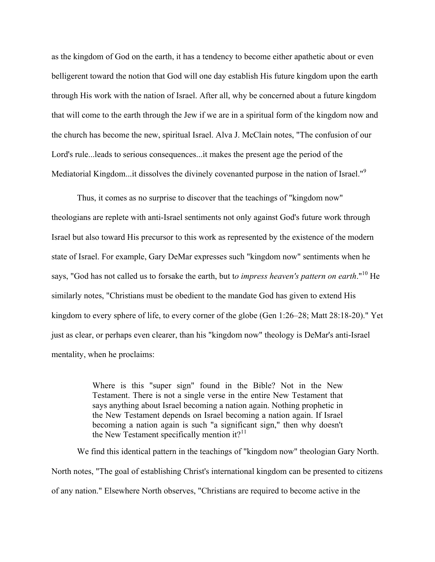as the kingdom of God on the earth, it has a tendency to become either apathetic about or even belligerent toward the notion that God will one day establish His future kingdom upon the earth through His work with the nation of Israel. After all, why be concerned about a future kingdom that will come to the earth through the Jew if we are in a spiritual form of the kingdom now and the church has become the new, spiritual Israel. Alva J. McClain notes, "The confusion of our Lord's rule...leads to serious consequences...it makes the present age the period of the Mediatorial Kingdom...it dissolves the divinely covenanted purpose in the nation of Israel."<sup>9</sup>

Thus, it comes as no surprise to discover that the teachings of "kingdom now" theologians are replete with anti-Israel sentiments not only against God's future work through Israel but also toward His precursor to this work as represented by the existence of the modern state of Israel. For example, Gary DeMar expresses such "kingdom now" sentiments when he says, "God has not called us to forsake the earth, but t*o impress heaven's pattern on earth*."10 He similarly notes, "Christians must be obedient to the mandate God has given to extend His kingdom to every sphere of life, to every corner of the globe (Gen 1:26–28; Matt 28:18-20)." Yet just as clear, or perhaps even clearer, than his "kingdom now" theology is DeMar's anti-Israel mentality, when he proclaims:

> Where is this "super sign" found in the Bible? Not in the New Testament. There is not a single verse in the entire New Testament that says anything about Israel becoming a nation again. Nothing prophetic in the New Testament depends on Israel becoming a nation again. If Israel becoming a nation again is such "a significant sign," then why doesn't the New Testament specifically mention it?<sup>11</sup>

We find this identical pattern in the teachings of "kingdom now" theologian Gary North. North notes, "The goal of establishing Christ's international kingdom can be presented to citizens of any nation." Elsewhere North observes, "Christians are required to become active in the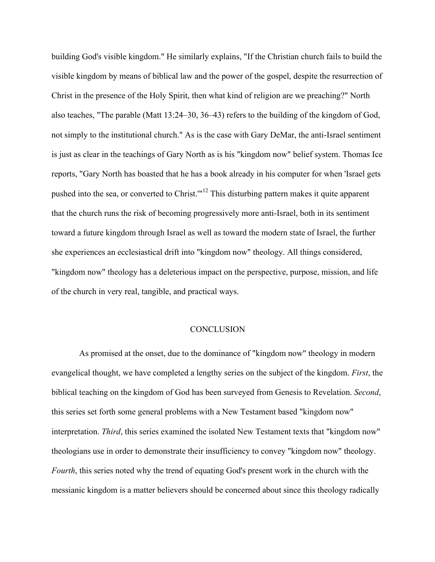building God's visible kingdom." He similarly explains, "If the Christian church fails to build the visible kingdom by means of biblical law and the power of the gospel, despite the resurrection of Christ in the presence of the Holy Spirit, then what kind of religion are we preaching?" North also teaches, "The parable (Matt 13:24–30, 36–43) refers to the building of the kingdom of God, not simply to the institutional church." As is the case with Gary DeMar, the anti-Israel sentiment is just as clear in the teachings of Gary North as is his "kingdom now" belief system. Thomas Ice reports, "Gary North has boasted that he has a book already in his computer for when 'Israel gets pushed into the sea, or converted to Christ.'"12 This disturbing pattern makes it quite apparent that the church runs the risk of becoming progressively more anti-Israel, both in its sentiment toward a future kingdom through Israel as well as toward the modern state of Israel, the further she experiences an ecclesiastical drift into "kingdom now" theology. All things considered, "kingdom now" theology has a deleterious impact on the perspective, purpose, mission, and life of the church in very real, tangible, and practical ways.

## **CONCLUSION**

As promised at the onset, due to the dominance of "kingdom now" theology in modern evangelical thought, we have completed a lengthy series on the subject of the kingdom. *First*, the biblical teaching on the kingdom of God has been surveyed from Genesis to Revelation. *Second*, this series set forth some general problems with a New Testament based "kingdom now" interpretation. *Third*, this series examined the isolated New Testament texts that "kingdom now" theologians use in order to demonstrate their insufficiency to convey "kingdom now" theology. *Fourth*, this series noted why the trend of equating God's present work in the church with the messianic kingdom is a matter believers should be concerned about since this theology radically